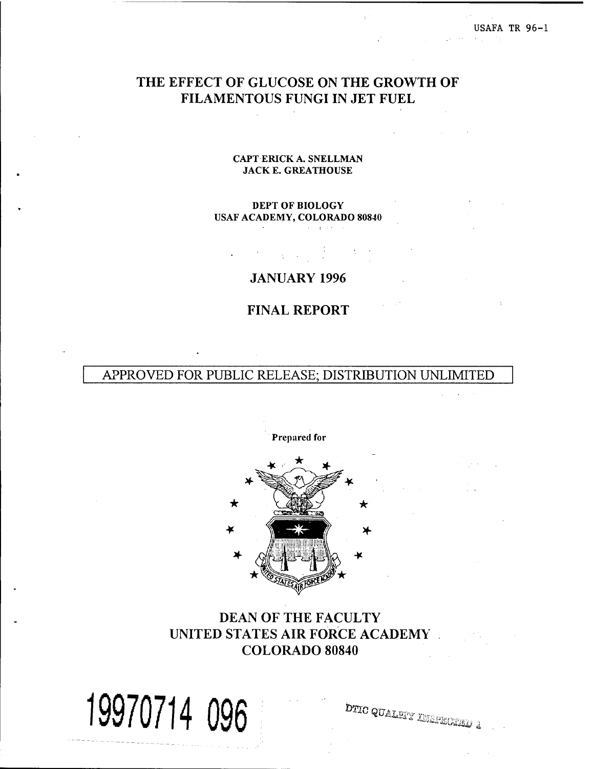$\frac{1}{3}$ 

# **THE EFFECT OF GLUCOSE ON THE GROWTH OF FILAMENTOUS FUNGI IN JET FUEL**

CAPT ERICK A. SNELLMAN JACK E. GREATHOUSE

DEPT OF BIOLOGY USAF ACADEMY, COLORADO 80840

 $\label{eq:2.1} \frac{1}{2} \left( \frac{1}{2} \left( \frac{1}{2} \right) \right) \left( \frac{1}{2} \left( \frac{1}{2} \right) \right) \left( \frac{1}{2} \right) \left( \frac{1}{2} \right) \left( \frac{1}{2} \right) \left( \frac{1}{2} \right) \left( \frac{1}{2} \right) \left( \frac{1}{2} \right) \left( \frac{1}{2} \right) \left( \frac{1}{2} \right) \left( \frac{1}{2} \right) \left( \frac{1}{2} \right) \left( \frac{1}{2} \right) \left( \frac{1}{2$ 

**JANUARY 1996**

## **FINAL REPORT**

APPROVED FOR PUBLIC RELEASE; DISTRIBUTION UNLIMITED

Prepared for



# **DEAN OF THE FACULTY UNITED STATES AIR FORCE ACADEMY COLORADO 80840**

**19970714 096**

DIIC QUALITY INSPECTED 1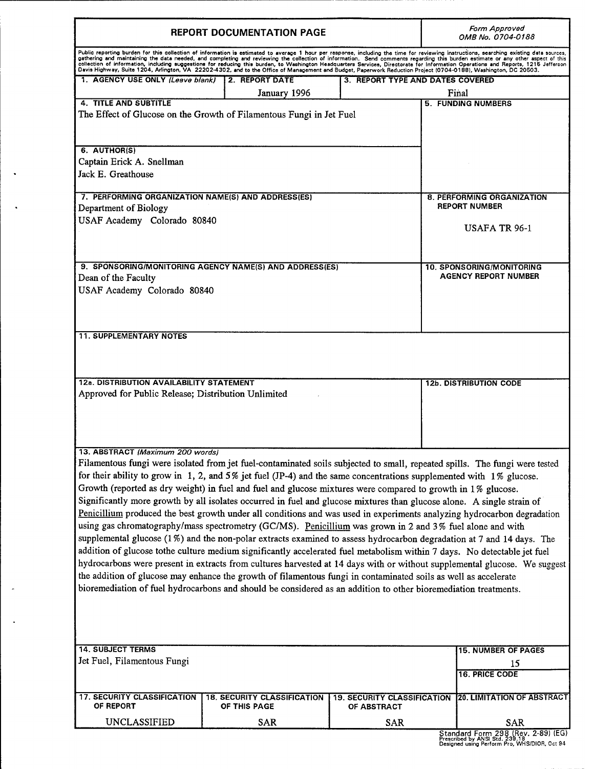| <b>REPORT DOCUMENTATION PAGE</b>                                                                                                                                                                                                                                                                                                                                                                                                                                                                                                                                                                                                                                                                                                                                                                                                                                                                                                                                                                                                                                                                                                                                                                                                                                                                                                                                                                    |  |                                                    |  |             |  | Form Approved<br>OMB No. 0704-0188                              |  |  |
|-----------------------------------------------------------------------------------------------------------------------------------------------------------------------------------------------------------------------------------------------------------------------------------------------------------------------------------------------------------------------------------------------------------------------------------------------------------------------------------------------------------------------------------------------------------------------------------------------------------------------------------------------------------------------------------------------------------------------------------------------------------------------------------------------------------------------------------------------------------------------------------------------------------------------------------------------------------------------------------------------------------------------------------------------------------------------------------------------------------------------------------------------------------------------------------------------------------------------------------------------------------------------------------------------------------------------------------------------------------------------------------------------------|--|----------------------------------------------------|--|-------------|--|-----------------------------------------------------------------|--|--|
| Public reporting burden for this collection of information is estimated to average 1 hour per response, including the time for reviewing instructions, searching existing data sources,<br>gathering and maintaining the data needed, and completing and reviewing the collection of information. Send comments regarding this burden estimate or any other aspect of this collection of information. Send comments regar<br>Davis Highway, Suite 1204, Arlington, VA 22202-4302, and to the Office of Management and Budget, Paperwork Reduction Project (0704-0188), Washington, DC 20503.<br>1. AGENCY USE ONLY <i>(Leave blank)</i><br><b>12. REPORT DATE</b><br>3. REPORT TYPE AND DATES COVERED                                                                                                                                                                                                                                                                                                                                                                                                                                                                                                                                                                                                                                                                                               |  |                                                    |  |             |  |                                                                 |  |  |
|                                                                                                                                                                                                                                                                                                                                                                                                                                                                                                                                                                                                                                                                                                                                                                                                                                                                                                                                                                                                                                                                                                                                                                                                                                                                                                                                                                                                     |  |                                                    |  |             |  | Final                                                           |  |  |
| <b>4. TITLE AND SUBTITLE</b>                                                                                                                                                                                                                                                                                                                                                                                                                                                                                                                                                                                                                                                                                                                                                                                                                                                                                                                                                                                                                                                                                                                                                                                                                                                                                                                                                                        |  | January 1996                                       |  |             |  | <b>5. FUNDING NUMBERS</b>                                       |  |  |
| The Effect of Glucose on the Growth of Filamentous Fungi in Jet Fuel                                                                                                                                                                                                                                                                                                                                                                                                                                                                                                                                                                                                                                                                                                                                                                                                                                                                                                                                                                                                                                                                                                                                                                                                                                                                                                                                |  |                                                    |  |             |  |                                                                 |  |  |
| 6. AUTHOR(S)<br>Captain Erick A. Snellman<br>Jack E. Greathouse                                                                                                                                                                                                                                                                                                                                                                                                                                                                                                                                                                                                                                                                                                                                                                                                                                                                                                                                                                                                                                                                                                                                                                                                                                                                                                                                     |  |                                                    |  |             |  |                                                                 |  |  |
| 7. PERFORMING ORGANIZATION NAME(S) AND ADDRESS(ES)<br>Department of Biology                                                                                                                                                                                                                                                                                                                                                                                                                                                                                                                                                                                                                                                                                                                                                                                                                                                                                                                                                                                                                                                                                                                                                                                                                                                                                                                         |  |                                                    |  |             |  | 8. PERFORMING ORGANIZATION<br><b>REPORT NUMBER</b>              |  |  |
| USAF Academy Colorado 80840                                                                                                                                                                                                                                                                                                                                                                                                                                                                                                                                                                                                                                                                                                                                                                                                                                                                                                                                                                                                                                                                                                                                                                                                                                                                                                                                                                         |  |                                                    |  |             |  | <b>USAFA TR 96-1</b>                                            |  |  |
| 9. SPONSORING/MONITORING AGENCY NAME(S) AND ADDRESS(ES)<br>Dean of the Faculty<br>USAF Academy Colorado 80840                                                                                                                                                                                                                                                                                                                                                                                                                                                                                                                                                                                                                                                                                                                                                                                                                                                                                                                                                                                                                                                                                                                                                                                                                                                                                       |  |                                                    |  |             |  | <b>10. SPONSORING/MONITORING</b><br><b>AGENCY REPORT NUMBER</b> |  |  |
| <b>11. SUPPLEMENTARY NOTES</b>                                                                                                                                                                                                                                                                                                                                                                                                                                                                                                                                                                                                                                                                                                                                                                                                                                                                                                                                                                                                                                                                                                                                                                                                                                                                                                                                                                      |  |                                                    |  |             |  |                                                                 |  |  |
| 12a. DISTRIBUTION AVAILABILITY STATEMENT<br>Approved for Public Release; Distribution Unlimited                                                                                                                                                                                                                                                                                                                                                                                                                                                                                                                                                                                                                                                                                                                                                                                                                                                                                                                                                                                                                                                                                                                                                                                                                                                                                                     |  |                                                    |  |             |  | <b>12b. DISTRIBUTION CODE</b>                                   |  |  |
| 13. ABSTRACT (Maximum 200 words)<br>Filamentous fungi were isolated from jet fuel-contaminated soils subjected to small, repeated spills. The fungi were tested<br>for their ability to grow in 1, 2, and $5\%$ jet fuel (JP-4) and the same concentrations supplemented with 1% glucose.<br>Growth (reported as dry weight) in fuel and fuel and glucose mixtures were compared to growth in 1% glucose.<br>Significantly more growth by all isolates occurred in fuel and glucose mixtures than glucose alone. A single strain of<br>Penicillium produced the best growth under all conditions and was used in experiments analyzing hydrocarbon degradation<br>using gas chromatography/mass spectrometry (GC/MS). Penicillium was grown in 2 and 3% fuel alone and with<br>supplemental glucose (1%) and the non-polar extracts examined to assess hydrocarbon degradation at 7 and 14 days. The<br>addition of glucose tothe culture medium significantly accelerated fuel metabolism within 7 days. No detectable jet fuel<br>hydrocarbons were present in extracts from cultures harvested at 14 days with or without supplemental glucose. We suggest<br>the addition of glucose may enhance the growth of filamentous fungi in contaminated soils as well as accelerate<br>bioremediation of fuel hydrocarbons and should be considered as an addition to other bioremediation treatments. |  |                                                    |  |             |  |                                                                 |  |  |
| <b>14. SUBJECT TERMS</b><br>Jet Fuel, Filamentous Fungi                                                                                                                                                                                                                                                                                                                                                                                                                                                                                                                                                                                                                                                                                                                                                                                                                                                                                                                                                                                                                                                                                                                                                                                                                                                                                                                                             |  |                                                    |  |             |  | <b>15. NUMBER OF PAGES</b><br>15                                |  |  |
|                                                                                                                                                                                                                                                                                                                                                                                                                                                                                                                                                                                                                                                                                                                                                                                                                                                                                                                                                                                                                                                                                                                                                                                                                                                                                                                                                                                                     |  |                                                    |  |             |  | <b>16. PRICE CODE</b>                                           |  |  |
| <b>17. SECURITY CLASSIFICATION</b><br>OF REPORT                                                                                                                                                                                                                                                                                                                                                                                                                                                                                                                                                                                                                                                                                                                                                                                                                                                                                                                                                                                                                                                                                                                                                                                                                                                                                                                                                     |  | <b>18. SECURITY CLASSIFICATION</b><br>OF THIS PAGE |  | OF ABSTRACT |  | 19. SECURITY CLASSIFICATION 20. LIMITATION OF ABSTRACT          |  |  |
| UNCLASSIFIED                                                                                                                                                                                                                                                                                                                                                                                                                                                                                                                                                                                                                                                                                                                                                                                                                                                                                                                                                                                                                                                                                                                                                                                                                                                                                                                                                                                        |  | <b>SAR</b>                                         |  | <b>SAR</b>  |  | <b>SAR</b><br>Standard Form 298 (Rev. 2-89) (EG)                |  |  |

 $\bullet$ 

 $\hat{\mathbf{v}}$ 

 $\bar{\gamma}$ 

 $\ddot{\phantom{a}}$ 

Standard Form 298 (Rev. 2-89) (EG)<br>Prescribed by ANSI Std. 239.18<br>Designed using Perform Pro, WHS/DIOR, Oct 94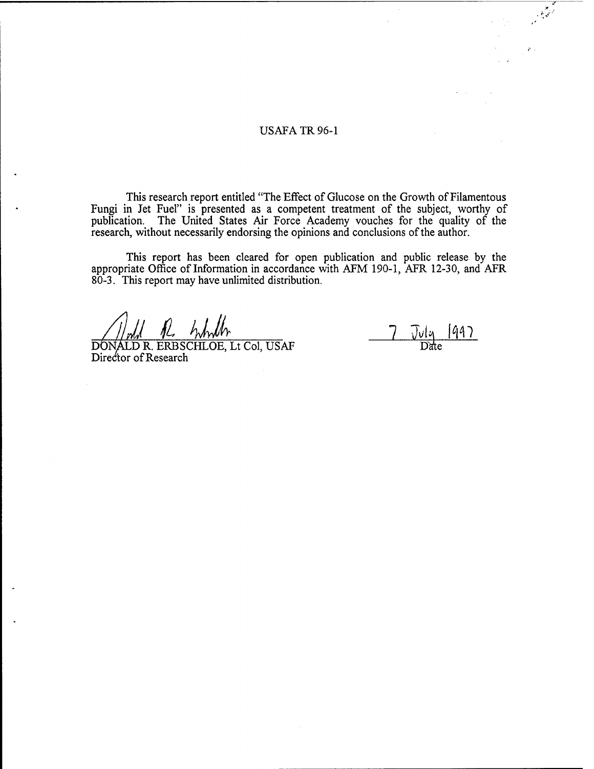#### USAFATR96-1

This research report entitled "The Effect of Glucose on the Growth of Filamentous Fungi in Jet Fuel" is presented as a competent treatment of the subject, worthy of publication. The United States Air Force Academy vouches for the quality of the research, without necessarily endorsing the opinions and conclusions of the author.

This report has been cleared for open publication and public release by the appropriate Office of Information in accordance with AFM 190-1, AFR 12-30, and AFR 80-3. This report may have unlimited distribution.

1 July 12 humble<br>DONALD R. ERBSCHLOE, Lt Col, USAF Date

Director of Research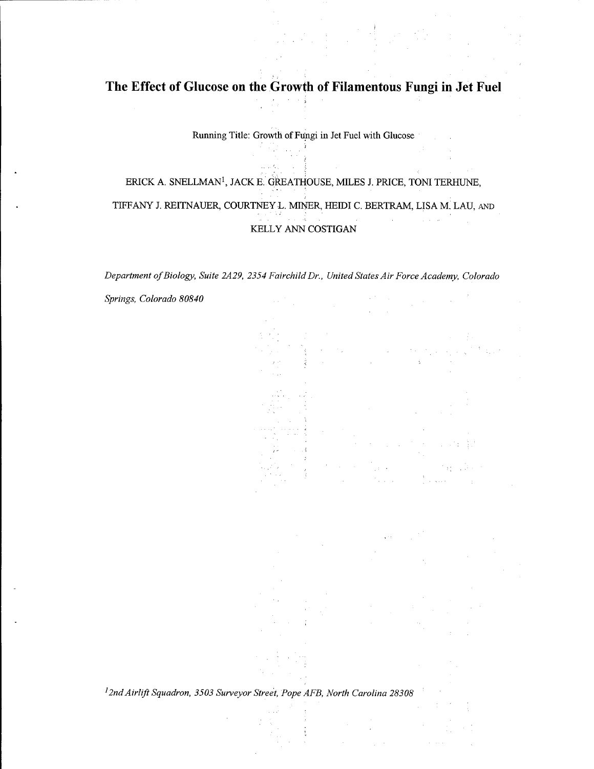The Effect of Glucose on the Growth of Filamentous Fungi in Jet Fuel

### Running Title: Growth of Fungi in Jet Fuel with Glucose

# ERICK A. SNELLMAN<sup>1</sup> , JACK E. GREATHOUSE, MILES J. PRICE, TONI TERHUNE, TIFFANY J. REITNAUER, COURTNEY L. MINER, HEIDI C. BERTRAM, LISA M. LAU, AND KELLY ANN COSTIGAN

*Department ofBiology, Suite 2A29, 2354 Fairchild Dr., United StatesAir Force Academy, Colorado*

 $\frac{1}{2}$ 

 $\tau^{-1}$ 

ta a la

*Springs, Colorado 80840*

*1 2ndAirlift Squadron, 3503 Surveyor Street, Pope AFB, North Carolina 28308*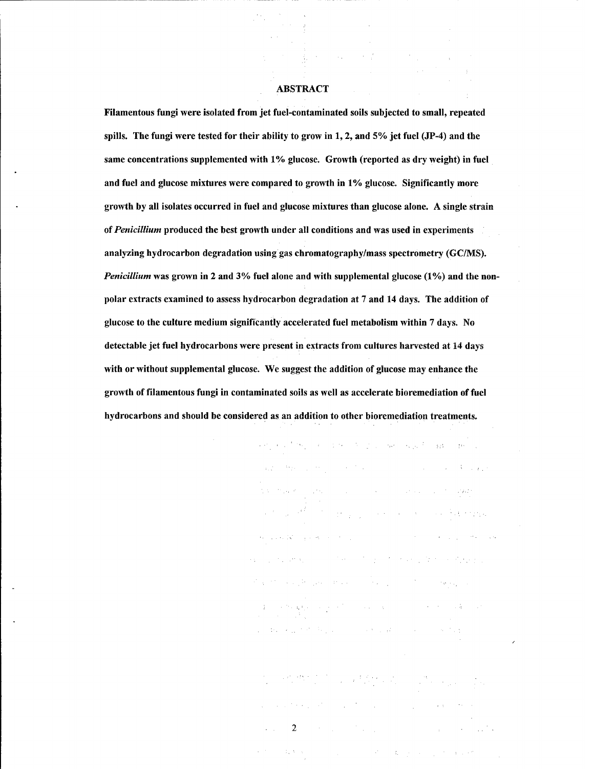#### ABSTRACT

Filamentous fungi were isolated from jet fuel-contaminated soils subjected to small, repeated spills. The fungi were tested for their ability to grow in 1, 2, and 5% jet fuel (JP-4) and the same concentrations supplemented with 1% glucose. Growth (reported as dry weight) in fuel and fuel and glucose mixtures were compared to growth in 1% glucose. Significantly more growth by all isolates occurred in fuel and glucose mixtures than glucose alone. A single strain of *Penicillium* produced the best growth under all conditions and was used in experiments analyzing hydrocarbon degradation using gas chromatography/mass spectrometry (GC/MS). *Penicillium* was grown in 2 and 3% fuel alone and with supplemental glucose (1%) and the nonpolar extracts examined to assess hydrocarbon degradation at 7 and 14 days. The addition of glucose to the culture medium significantly accelerated fuel metabolism within 7 days. No detectable jet fuel hydrocarbons were present in extracts from cultures harvested at 14 days with or without supplemental glucose. We suggest the addition of glucose may enhance the growth of filamentous fungi in contaminated soils as well as accelerate bioremediation of fuel hydrocarbons and should be considered as an addition to other bioremediation treatments.

> and a state of the state of the state of the state of the state of the and the control of the control of the control of the state De l'aventure de la companyation de la companyation de la proposa a thuais<sup>t</sup>í i thugair a chuid i seo an Baiteas  $\alpha$  , i.e.  $\overline{N}$  , power such  $\overline{N}$ and the control of the control of and the company of the state of the state of the state of the state of the state of the state of the state of the state of the state of the state of the state of the state of the state of the state of the state of the stat for the conflict we can be a series of the consequence  $\Phi_{\rm eff}$  is the appearing of the constraints of the constraints of  $\Phi$ 2. "我们的是什么事,这个人的人的人都是一个人的人的人的人  $\label{eq:2.1} \begin{array}{ll} \mathcal{L}(\mathcal{F}_{\mathcal{G}}(\mathcal{A}\mathcal{S},\mathcal{F}_{\mathcal{G}})) = & \mathcal{L}(\mathcal{F}_{\mathcal{G}}(\mathcal{S},\mathcal{F}_{\mathcal{G}})) = & \mathcal{L}(\mathcal{F}_{\mathcal{G}}(\mathcal{S},\mathcal{F}_{\mathcal{G}})) = & \mathcal{L}(\mathcal{F}_{\mathcal{G}}(\mathcal{S},\mathcal{F}_{\mathcal{G}})) = & \mathcal{L}(\mathcal{F}_{\mathcal{G}}(\mathcal{S},\mathcal{F}_{\mathcal{G}})) = & \mathcal{$ provided the proof of the control of the control of the control of  $2$  and  $\mathbb{R}^2$  and  $\mathbb{R}^2$

 $\mathbb{E}_\mathbf{a}(\mathcal{H}^{\mathbb{C}}(\mathbf{y}))$  .  $\label{eq:2.1} \mathcal{L}_{\mathcal{A}}(\mathcal{A}) = \mathcal{L}_{\mathcal{A}}(\mathcal{A}) = \mathcal{L}_{\mathcal{A}}(\mathcal{A}) = \mathcal{L}_{\mathcal{A}}(\mathcal{A}) = \mathcal{L}_{\mathcal{A}}(\mathcal{A}) = \mathcal{L}_{\mathcal{A}}(\mathcal{A}) = \mathcal{L}_{\mathcal{A}}(\mathcal{A})$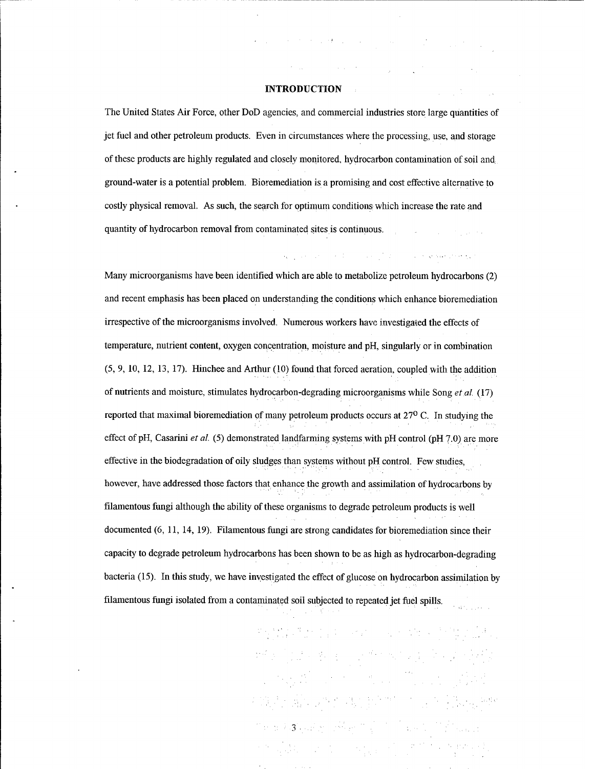#### INTRODUCTION

 $\mathcal{T}$  , and  $\mathcal{S}$  , and  $\mathcal{S}$  , and  $\mathcal{S}$  , and  $\mathcal{S}$  , and  $\mathcal{S}$ 

The United States Air Force, other DoD agencies, and commercial industries store large quantities of jet fuel and other petroleum products. Even in circumstances where the processing, use, and storage ofthese products are highly regulated and closely monitored, hydrocarbon contamination ofsoil and ground-water is a potential problem. Bioremediation is a promising and cost effective alternative to costly physical removal. As such, the search for optimum conditions which increase the rate and quantity of hydrocarbon removal from contaminated sites is continuous.

and the same of the complete security.

Many microorganisms have been identified which are able to metabolize petroleum hydrocarbons (2) and recent emphasis has been placed on understanding the conditions which enhance bioremediation irrespective of the microorganisms involved. Numerous workers have investigated the effects of temperature, nutrient content, oxygen concentration, moisture and pH, singularly or in combination (5, 9, 10, 12, 13, 17). Hinchee and Arthur (10) found that forced aeration, coupled with the addition of nutrients and moisture, stimulates hydrocarbon-degrading microorganisms while Song *et al* (17) reported that maximal bioremediation of many petroleum products occurs at 27° C. In studying the effect of pH, Casarini *et al.* (5) demonstrated landfarming systems with pH control (pH 7-0) are more effective in the biodegradation of oily sludges than systems without pH control. Few studies, however, have addressed those factors that enhance the growth and assimilation of hydrocarbons by filamentous fungi although the ability of these organisms to degrade petroleum products is well documented (6, 11, 14, 19). Filamentous fungi are strong candidates for bioremediation since their capacity to degrade petroleum hydrocarbons has been shown to be as high as hydrocarbon-degrading bacteria (15). In this study, we have investigated the effect of glucose on hydrocarbon assimilation by filamentous fungi isolated from a contaminated soil subjected to repeated jet fuel spills.

> 的复数经遗产 化亚硝酸盐 医心包 医无线 医透明检查 地名美国科拉里 医牙髓细胞炎 医视觉分裂 经实质 国际设施的 电自动的 计 where  $\lambda$  is a subset of  $\lambda$  and  $\lambda$ the Carlos Constitution of the Carlos Constitution of the Carlos Constitution of the Carlos Constitution of the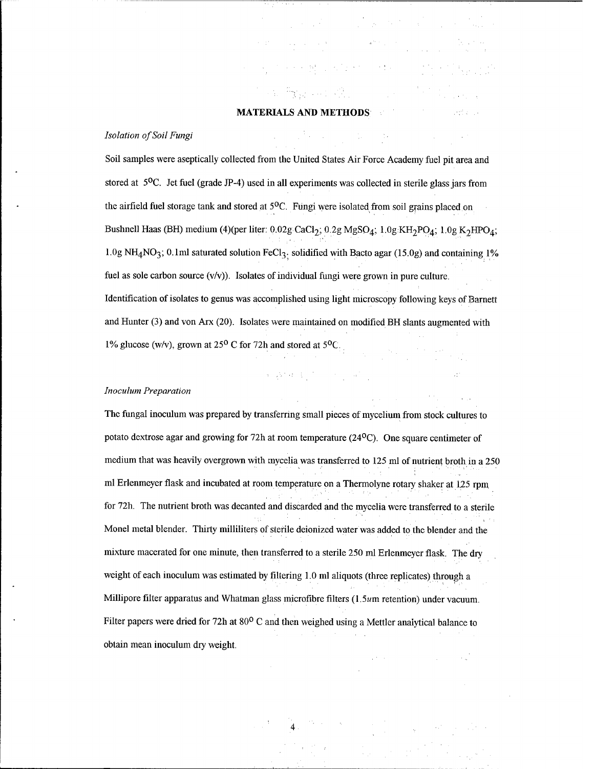#### **MATERIALS AND METHODS**

그 왜 가득 나오고 있어서 아이들이

#### *Isolation ofSoil Fungi*

Soil samples were aseptically collected from the United States Air Force Academy fuel pit area and stored at  $5^{\circ}$ C. Jet fuel (grade JP-4) used in all experiments was collected in sterile glass jars from the airfield fuel storage tank and stored at 5°C. Fungi were isolated from soil grains placed on Bushnell Haas (BH) medium (4)(per liter:  $0.02g$  CaCl<sub>2</sub>;  $0.2g$  MgSO<sub>4</sub>;  $1.0g$  KH<sub>2</sub>PO<sub>4</sub>;  $1.0g$  K<sub>2</sub>HPO<sub>4</sub>;  $1.0g$  NH<sub>4</sub>NO<sub>3</sub>; 0.1ml saturated solution FeCl<sub>3</sub>. solidified with Bacto agar (15.0g) and containing 1% fuel as sole carbon source  $(v/v)$ ). Isolates of individual fungi were grown in pure culture. Identification of isolates to genus was accomplished using light microscopy following keys of Barnett and Hunter (3) and von Arx (20). Isolates were maintained on modified BH slants augmented with 1% glucose (w/v), grown at 25° C for 72h and stored at 5°C.

 $\label{eq:q} \Psi_{\alpha} = \frac{1}{2} \sum_{i=1}^n \left( \frac{1}{2} \sum_{i=1}^n \frac{1}{2} \sum_{i=1}^n \frac{1}{2} \sum_{i=1}^n \frac{1}{2} \sum_{i=1}^n \frac{1}{2} \sum_{i=1}^n \frac{1}{2} \sum_{i=1}^n \frac{1}{2} \sum_{i=1}^n \frac{1}{2} \sum_{i=1}^n \frac{1}{2} \sum_{i=1}^n \frac{1}{2} \sum_{i=1}^n \frac{1}{2} \sum_{i=1}^n \frac{1}{2} \sum_{i$ 

#### *Inoculum Preparation*

The fungal inoculum was prepared by transferring small pieces of mycelium from stock cultures to potato dextrose agar and growing for 72h at room temperature (24°C). One square centimeter of medium that was heavily overgrown with mycelia was transferred to 125 ml of nutrient broth in a 250 ml Erlenmeyer flask and incubated at room temperature on a Thermolyne rotary shaker at 125 rprn for 72h. The nutrient broth was decanted and discarded and the mycelia were transferred to a sterile Monel metal blender. Thirty milliliters of sterile deionized water was added to the blender and the mixture macerated for one minute, then transferred to a sterile 250 ml Erlenmeyer flask. The dry weight of each inoculum was estimated by filtering 1.0 ml aliquots (three replicates) through a Millipore filter apparatus and Whatman glass microfibre filters (1.5um retention) under vacuum. Filter papers were dried for 72h at 80<sup>o</sup> C and then weighed using a Mettler analytical balance to obtain mean inoculum dry weight.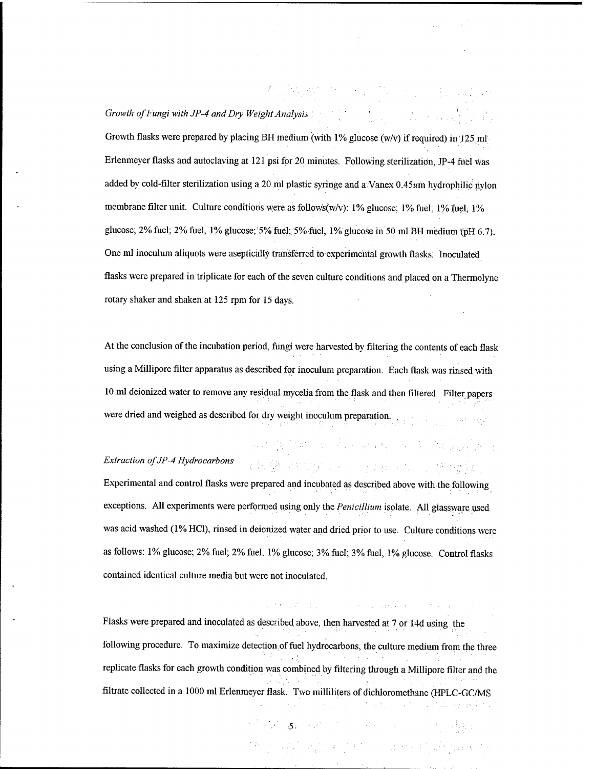*Growth ofFungi with JP-4 and Dry WeightAnalysis* . Growth flasks were prepared by placing BH medium (with 1% glucose (w/v) if required) in 125 ml Erlenmeyer flasks and autoclaving at 121 psi for 20 minutes. Following sterilization, JP-4 fuel was added by cold-filter sterilization using a 20 ml plastic syringe and a Vanex 0.45am hydrophilic nylon membrane filter unit. Culture conditions were as follows(w/v): 1% glucose; 1% fuel; 1% fuel; 1% glucose; 2% fuel; 2% fuel, 1% glucose; *5%* fuel;. 5%fuel, 1% glucose in 50 ml BH medium (pH 6.7). One ml inoculum aliquots were aseptically transferred to experimental growth flasks. Inoculated flasks were prepared in triplicate for each of the seven culture conditions and placed on a Thermolyne rotary shaker and shaken at 125 rpm for 15 days.

발표 (1979-1989) - 1980-1980<br>기타

At the conclusion of the incubation period, fungi were harvested by filtering the contents of each flask using a Millipore filter apparatus as described for inoculum preparation. Each flask was rinsed with 10 ml deionized water to remove any residual mycelia from the flask and then filtered. Filter papers were dried and weighed as described for dry weight inoculum preparation.  $B_{\rm T}^{\rm eff} \rightarrow \gamma \gamma \gamma$ 

# *Extraction ofJP-4 Hydrocarbons* : , ■■*-.. '*

Experimental and control flasks were prepared and incubated as described above with, the following exceptions. All experiments were performed using only the *Penicillium* isolate. All glassware used was acid washed (1% HC1), rinsed in deionized water and dried prior to use. Culture conditions were as follows: 1% glucose; 2% fuel; 2% fuel, 1% glucose; 3% fuel; 3% fuel, 1% glucose. Control flasks contained identical culture media but were not inoculated.

Flasks were prepared and inoculated as described above, then harvested at 7 or **14d** using the following procedure. To maximize detection of fuel hydrocarbons, the culture medium from the three replicate flasks for each growth condition was combined by filtering through a Millipore filter and the filtrate collected in a 1000 ml Erlenmeyer flask. Two milliliters of dichloromethane (HPLC-GC/MS

The complete products of

法国国家的利润 计标准 法保证的的复数形式

经加工的 化二氯化物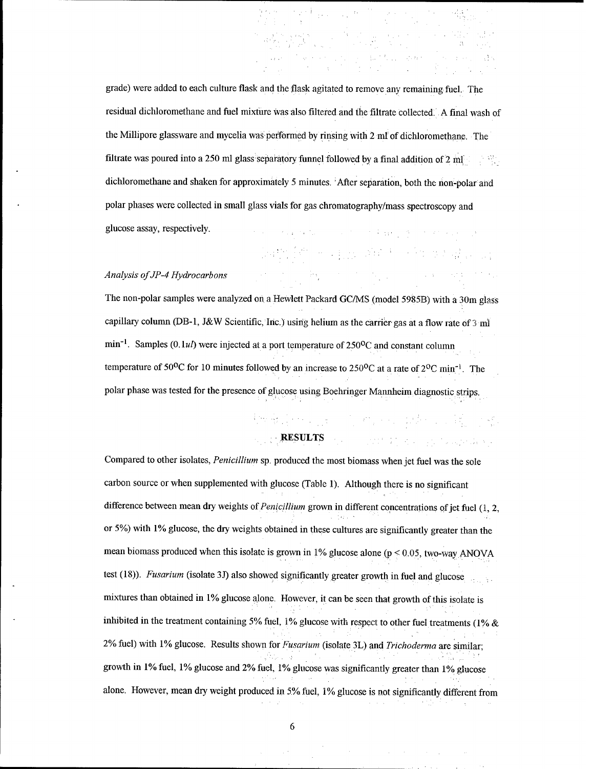grade) were added to each culture flask and the flask agitated to remove any remaining fuel. The residual dichloromethane and fuel mixture was also filtered and the filtrate collected.'. A final wash of the Millipore glassware and mycelia was performed by rinsing with 2 ml'of dichloromethane. The filtrate was poured into a 250 ml glass separatory funnel followed by a final addition of 2 ml dichloromethane and shaken for approximately 5 minutes. After separation, both the non-polar and polar phases were collected in small glass vials for gas chromatography/mass spectroscopy and glucose assay, respectively. and the company of the state of the control of the control of the control of

医物质型 的复数网络大学的原因最高的

#### *Analysis ofJP-4 Hydrocarbons*

The non-polar samples were analyzed on a Hewlett Packard GC/MS (model 5985B) with a 30m glass capillary column (DB-1, J&W Scientific, Inc.) using helium as the carrier gas at a flow rate of 3 ml  $min^{-1}$ . Samples (0.1*ul*) were injected at a port temperature of 250<sup>o</sup>C and constant column temperature of 50<sup>o</sup>C for 10 minutes followed by an increase to 250<sup>o</sup>C at a rate of 2<sup>o</sup>C min<sup>-1</sup>. The polar phase was tested for the presence of glucose using Boehringer Mannheim diagnostic strips.

Graj.

# 脉脉冲(https://www.p4co.kb/pd  $\mathcal{L}_{\text{max}}$  ;  $\mathbf{RESULTS}$  ,  $\mathcal{L}_{\text{max}}$  ,  $\mathcal{L}_{\text{max}}$  ,  $\mathcal{L}_{\text{max}}$  ,  $\mathcal{L}_{\text{max}}$  ,  $\mathcal{L}_{\text{max}}$

Compared to other isolates, *Penicillium* sp. produced the most biomass when jet fuel was the sole carbon source or when supplemented with glucose (Table 1). Although there is no significant difference between mean dry weights of *Penicillium* grown in different concentrations of jet fuel (1, 2, or 5%) with 1% glucose, the dry weights obtained in these cultures are significantly greater than the mean biomass produced when this isolate is grown in 1% glucose alone  $(p < 0.05$ , two-way ANOVA test (18)). *Fusarium* (isolate 3J) also showed significantly greater growth in fuel and glucose mixtures than obtained in 1% glucose alone. However, it can be seen that growth ofthis isolate is inhibited in the treatment containing 5% fuel, 1% glucose with respect to other fuel treatments (1%  $\&$ 2% fuel) with 1% glucose. Results shown for *Fusarium* (isolate 3L) and *Trichoderma* are similar; growth in 1% fuel, 1% glucose and 2% fuel, 1% glucose was significantly greater than 1% glucose alone. However, mean dry weight produced in 5% fuel, 1% glucose is not significantly different from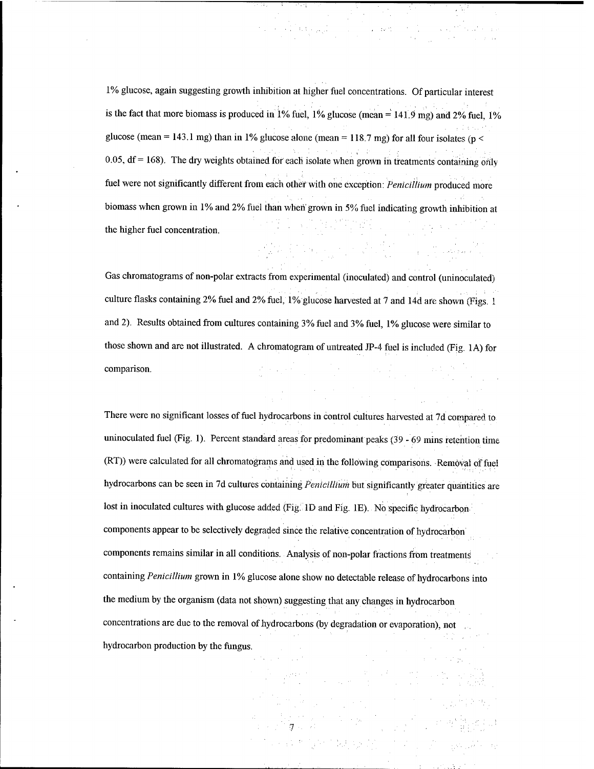1% glucose, again suggesting growth inhibition at higher fuel concentrations. Of particular interest is the fact that more biomass is produced in 1% fuel, 1% glucose (mean =  $141.9$  mg) and 2% fuel, 1% glucose (mean = 143.1 mg) than in 1% glucose alone (mean = 118.7 mg) for all four isolates ( $p <$ 0.05,  $df = 168$ ). The dry weights obtained for each isolate when grown in treatments containing only fuel were not significantly different from each other with one exception: *Penicillium* produced more biomass when grown in 1% and 2% fuel than when grown in 5% fuel indicating growth inhibition at the higher fuel concentration.

 $\epsilon \rightarrow \tilde{\epsilon}$  is typically and the set of the  $\epsilon$ 

Gas chromatograms of non-polar extracts from experimental (inoculated) and control (uninoculated) culture flasks containing 2% fuel and 2% fuel, 1% glucose harvested at 7 and 14d are shown (Figs. <sup>1</sup> and 2). Results obtained from cultures containing 3% fuel and 3% fuel, 1% glucose were similar to those shown and are not illustrated. A chromatogram of untreated JP-4 fuel is included (Fig. 1A) for comparison.

There were no significant losses of fuel hydrocarbons in control cultures harvested at 7d compared to uninoculated fuel (Fig. 1). Percent standard areas for predominant peaks (39 - 69 mins retention time (RT)) were calculated for all chromatograms and used in the following comparisons. Removal of fuel hydrocarbons can be seen in 7d cultures containing *Penicillium* but significantly greater quantities are lost in inoculated cultures with glucose added (Fig. 1D and Fig. 1E). No specific hydrocarbon components appear to be selectively degraded since the relative concentration of hydrocarbon components remains similar in all conditions. Analysis of non-polar fractions from treatments containing *Penicillium* grown in 1% glucose alone show no detectable release of hydrocarbons into the medium by the organism (data not shown) suggesting that any changes in hydrocarbon concentrations are due to the removal of hydrocarbons (by degradation or evaporation), not hydrocarbon production by the fungus.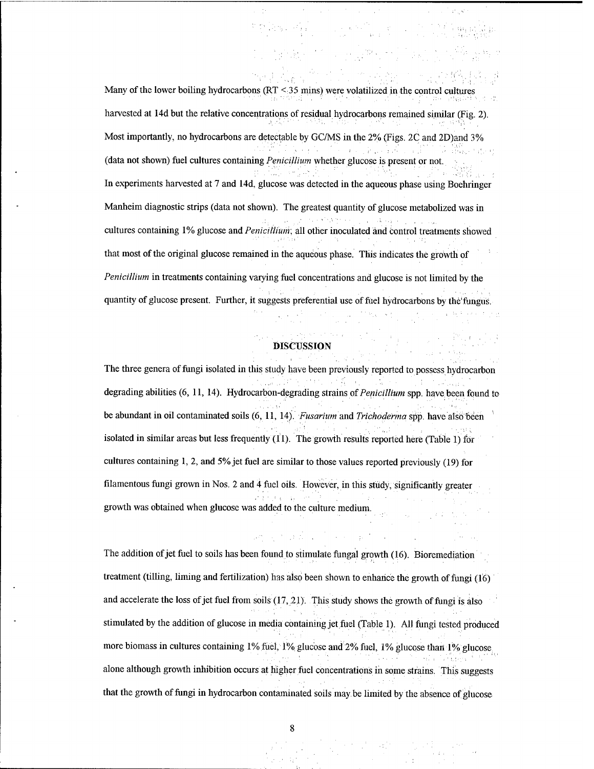Many of the lower boiling hydrocarbons  $(RT < 35$  mins) were volatilized in the control cultures harvested at 14d but the relative concentrations of residual hydrocarbons remained similar (Fig. 2). Most importantly, no hydrocarbons are detectable by GC/MS in the 2% (Figs. 2C and 2D)and 3% (data not shown) fuel cultures containing *Penicillium* whether glucose is present or not. In experiments harvested at 7 and 14d, glucose was detected in the aqueous phase using Boehringer Manheim diagnostic strips (data not shown). The greatest quantity of glucose metabolized was in cultures containing 1% glucose and *Penicillium;* all other inoculated and control treatments showed that most of the original glucose remained in the aqueous phase. This indicates the growth of *Penicillium* in treatments containing varying fuel concentrations and glucose is not limited by the quantity of glucose present. Further, it suggests preferential use of fuel hydrocarbons by the fungus.

#### DISCUSSION

The three genera of fungi isolated in this study have been previously reported to possess hydrocarbon degrading abilities (6, 11, 14). Hydrocarbon-degrading strains of*Penicillium* spp. have been found to be abundant in oil contaminated soils (6, 11, 14). *Fusarium* and *Trichoderma* spp. have also been isolated in similar areas but less frequently (11). The growth results reported here (Table 1) for cultures containing 1, 2, and 5% jet fuel are similar to those values reported previously (19) for filamentous fungi grown in Nos. 2 and 4 fuel oils. However, in this study, significantly greater growth was obtained when glucose was added to the culture medium.

The addition of jet fuel to soils has been found to stimulate fungal growth (16). Bioremediation treatment (tilling, liming and fertilization) has also been shown to enhance the growth of fungi (16) and accelerate the loss of jet fuel from soils  $(17, 21)$ . This study shows the growth of fungi is also stimulated by the addition of glucose in media containing jet fuel (Table 1). All fungi tested produced more biomass in cultures containing 1% fuel, 1% glucose and 2% fuel, 1% glucose than 1% glucose alone although growth inhibition occurs at higher fuel concentrations in some strains. This suggests that the growth of fungi in hydrocarbon contaminated soils may be limited by the absence of glucose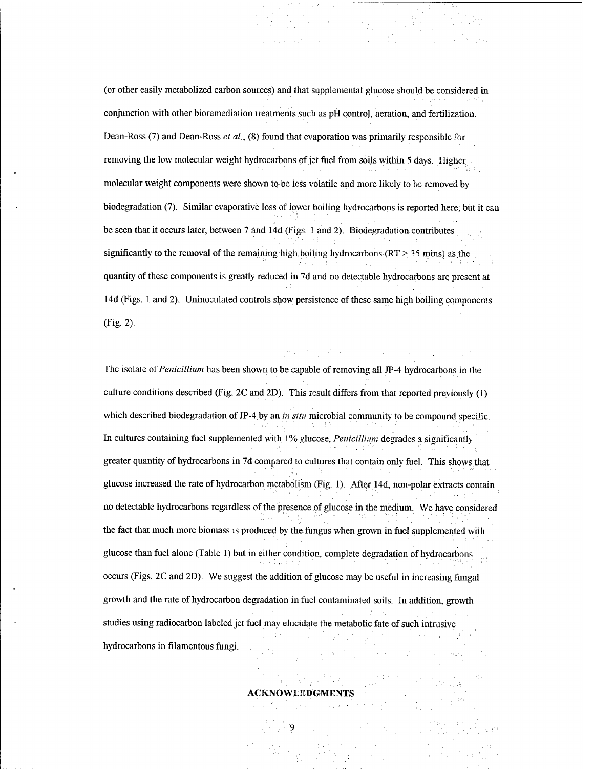(or other easily metabolized carbon sources) and that supplemental glucose should be considered in conjunction with other bioremediation treatments such as pH control, aeration, and fertilization. Dean-Ross (7) and Dean-Ross *et ah,* (8) found that evaporation was primarily responsible for removing the low molecular weight hydrocarbons of jet fuel from soils within 5 days. Higher molecular weight components were shown to be less volatile and more likely to be removed by biodegradation (7). Similar evaporative loss of lower boiling hydrocarbons is reported here, but it can be seen that it occurs later, between 7 and 14d (Figs. <sup>1</sup> and 2). Biodegradation contributes significantly to the removal of the remaining high boiling hydrocarbons  $(RT > 35$  mins) as the quantity of these components is greatly reduced in 7d and no detectable hydrocarbons are present at 14d (Figs. <sup>1</sup> and 2). Uninoculated controls show persistence ofthese same high boiling components (Fig. 2).

The isolate of *PeniciIlium* has been shown to be capable ofremoving all JP-4 hydrocarbons in the culture conditions described (Fig. 2C and 2D). This result differs from that reported previously (1) which described biodegradation of JP-4 by an *in situ* microbial community to be compound specific. In cultures containing fuel supplemented with 1% glucose, *PeniciIlium* degrades a significantly greater quantity of hydrocarbons in 7d compared to cultures that contain only fuel. This shows that glucose increased the rate of hydrocarbon metabolism (Fig. 1). After 14d, non-polar extracts contain no detectable hydrocarbons regardless of the presence of glucose in the medium. We have considered the fact that much more biomass is produced by the fungus when grown in fuel supplemented with glucose than fuel alone (Table 1) but in either condition, complete degradation of hydrocarbons occurs (Figs. 2C and 2D). We suggest the addition of glucose may be useful in increasing fungal growth and the rate of hydrocarbon degradation in fuel contaminated soils. In addition, growth studies using radiocarbon labeled jet fuel may elucidate the metabolic fate of such intrusive

hydrocarbons in filamentous fungi.

## ACKNOWLEDGMENTS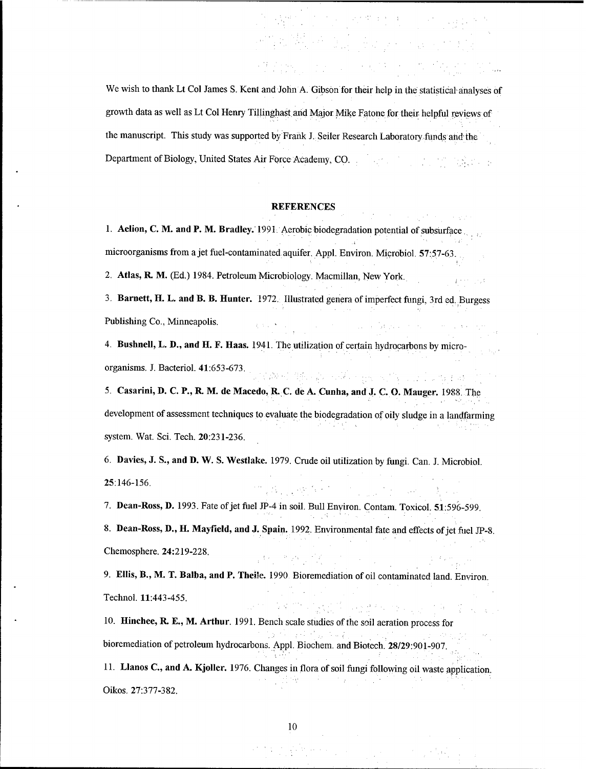We wish to thank Lt Col James S. Kent and John A. Gibson for their help in the statistical analyses of growth data as well as Lt Col Henry Tillinghast.arid Major Mike Fatone for their helpful reviews of the manuscript. This study was supported by Frank J. Seiler Research Laboratory funds arid the Department of Biology, United States Air Force Academy, CO.

#### **REFERENCES**

1. **Aelion, C. M. and P. M. Bradley.** 1991. Aerobic biodegradation potential of subsurface. microorganisms from a jet fuel-contaminated aquifer. Appl. Environ. Microbiol. 57:57-63.

2. **Atlas, R M.** (Ed.) 1984. Petroleum Microbiology. Macmillan, New York.

3. **Barnett, H. L. and B. B. Hunter.** 1972. Illustrated genera of imperfect fungi, 3rd ed. Burgess Publishing Co., Minneapolis. and a strip product of the

4. **Bushnell, L. D., and H. F. Haas.** 1941. The utilization of certain hydrocarbons by microorganisms. J. Bacteriol. 41:653-673. in a Andra A

5. **Casarini, D. C. P., R M. de Macedo, R C. de A. Cunha, and J. CO. Mauger.** 1988! The development of assessment techniques to evaluate the biodegradation of oily sludge in a landfarming system. Wat. Sei. Tech. 20:231-236.

6. **Davies, J.** S., **and D. W.** S. **Westlake.** 1979. Crude oil utilization by fungi. Can. J. Microbiol. 25:146-156.

7. **Dean-Ross,** D. 1993. Fate ofjet fuel JP-4 in soil. Bull Environ. Contam. Toxicol. 51:596-599.

8. **Dean-Ross, D., H. Mayfield, and J. Spain.** 1992. Environmental fate and effects of jet fuel JP-8. Chemosphere. 24:219-228.

9. **Ellis, B., M. T. Balba, and P. Theile.** 1990 Bioremediation of oil contaminated land. Environ. Technol. 11:443-455.

10. **Hinchee, R E., M. Arthur.** 1991. Bench scale studies ofthe soil aeration process for bioremediation of petroleum hydrocarbons. Appl. Biochem. and Biotech. 28/29:901-907. 11. **Llanos C, and A. Kjoller.** 1976. Changes in flora ofsoil fungi following oil waste application. Oikos. 27:377-382.

在地区的 医肌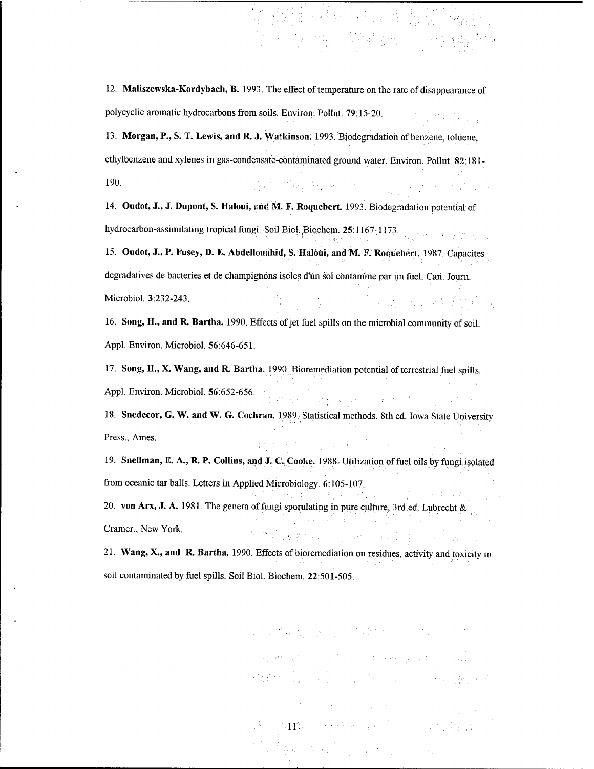12. Maliszewska-Kordybach, B. 1993. The effect of temperature on the rate of disappearance of polycyclic aromatic hydrocarbons from soils. Environ. Pollut. 79:15-20.

 $\left\{ \begin{array}{ll} \mathbb{P}_{\mathcal{A}}\left(\mathbb{R}^{n}\right)\geq\mathbb{P}_{\mathcal{A}}\left(\mathbb{R}^{n}\right)\geq\mathbb{P}_{\mathcal{A}}\left(\mathbb{R}^{n}\right)\geq\mathbb{P}_{\mathcal{A}}\left(\mathbb{R}^{n}\right)\right\} \end{array} \right.$ 

n ng Kapina ( Cong).<br>Canada

13. **Morgan, P.,** S. **T. Lewis, and R. J.** Watkinson. 1993. Biodegradation of benzene, toluene, ethylbenzene and xylenes in gas-condensate-contaminated ground water. Environ. Pollüt. 82:181- **190.**  $\qquad \qquad \frac{1}{2}$ 

14. **Oudot, J., J. Dupont, S. Haloui,** and M, **F. Roquebert.** 1993. Biodegradation potential of hydrocarbon-assimilating tropical fungi. Soil Biol. Biochem. 25:1167-1173.

15. **Oudot, J., P. Fusey, D. E. Abdellouahid, S. Halöui, and M.** F. Roquebert; 1987. Gapacites degradatives de bacteries et de champignons isoles d'un sol cöntamine par un fuel. Can. Joum. Microbiol. 3:232-243. i ku shi ku kutoko

16. Song, H., and R. Bartha. 1990. Effects of jet fuel spills on the microbial community of soil. Appl. Environ. Microbiol. 56:646-651.

17. **Song, EL, X. Wang, and R. Bartha.** 1990. Bioremediation potential ofterrestrial fuel spills. Appl. Environ. Microbiol. 56:652-656. はつけな しょうこうしゅうど

18. **Snedecor, G. W. and W. G. Cochran,** 1989, Statistical methods, 8th ed. Iowa State University Press., Ames.

19. **Snellman, E. A., R. P. Collins, and J.** C. **Cooke.** 1988. Utilization offuel oils by fungi isolated from oceanic tar balls. Letters in Applied Microbiology. 6:105-107.

20. **von Arx, J. A.** 1981. The genera of fungi sporulating in pure culture, 3rd, ed. Lubrecht & Cramer., New York.  $\mathcal{L}^{\mathcal{A}}(\mathcal{A},\mathcal{B},\mathcal{B},\mathcal{B},\mathcal{B},\mathcal{B})$ de constanto.

21. **Wang, X., and R. Bartha.** 1990. Effects of bioremediation on residues, activity and toxicity in soil contaminated by fuel spills. Soil Biol. Biochem. 22:501-505.

> $\frac{1}{2} \frac{1}{2} \frac{1}{2} \frac{1}{2} \frac{1}{2} \frac{1}{2} \frac{1}{2} \frac{1}{2} \frac{1}{2} \frac{1}{2} \frac{1}{2} \frac{1}{2} \frac{1}{2} \frac{1}{2} \frac{1}{2} \frac{1}{2} \frac{1}{2} \frac{1}{2} \frac{1}{2} \frac{1}{2} \frac{1}{2} \frac{1}{2} \frac{1}{2} \frac{1}{2} \frac{1}{2} \frac{1}{2} \frac{1}{2} \frac{1}{2} \frac{1}{2} \frac{1}{2} \frac{1}{2} \frac{$  $\label{eq:3.1} -\partial_{\overline{\partial}}\overline{\partial}_{\overline{\partial}}\partial\overline{\partial}_{\overline{\partial}}\partial_{\overline{\partial}}\overline{\partial}_{\overline{\partial}}\partial_{\overline{\partial}}\partial_{\overline{\partial}}\partial_{\overline{\partial}}\partial_{\overline{\partial}}\partial_{\overline{\partial}}\partial_{\overline{\partial}}\partial_{\overline{\partial}}\partial_{\overline{\partial}}\partial_{\overline{\partial}}\partial_{\overline{\partial}}\partial_{\overline{\partial}}\partial_{\overline{\partial}}\partial_{\overline{\partial}}\partial_{\overline{\partial}}\partial_{\overline{\partial}}\partial_{\overline{\partial}}\partial_{\overline{\partial}}\$  $11.11$   $\text{11}$   $\text{11}$   $\text{11}$   $\text{11}$   $\text{11}$   $\text{11}$   $\text{11}$   $\text{11}$   $\text{11}$   $\text{11}$   $\text{11}$   $\text{11}$   $\text{11}$   $\text{11}$   $\text{11}$   $\text{11}$   $\text{11}$   $\text{11}$   $\text{11}$   $\text{11}$   $\text{11}$   $\text{11}$   $\text{11}$   $\text{11$ Alganisation of the Company of the Company of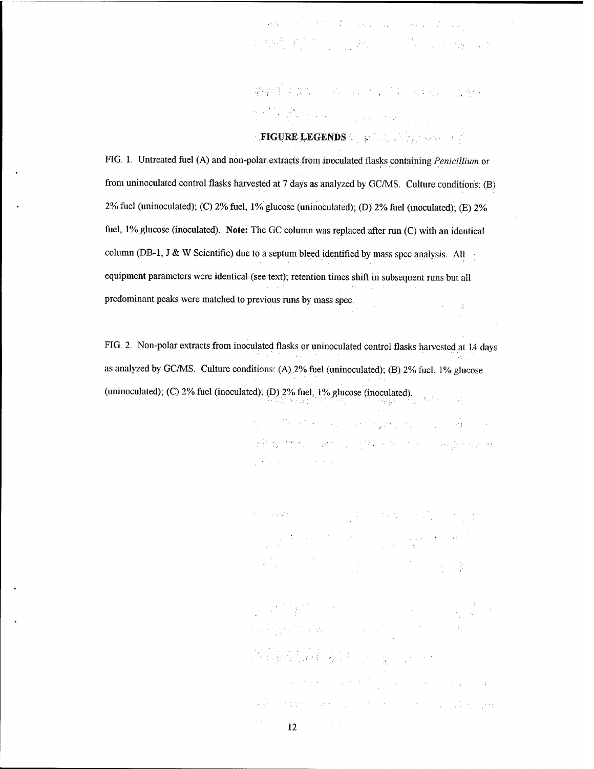and the state of the second state of the state of the which is the second control of the second control  $\mathcal{L}_\mathbf{X}$  and  $\mathcal{L}_\mathbf{X}$ and the state of the second and the second second second  $\frac{1}{2}\left(\frac{2\pi}{\lambda}\right)^2\left(\frac{2\lambda}{\lambda}\right)^2\left(\frac{2\lambda}{\lambda}\right)^2\left(\frac{2\lambda}{\lambda}\right)^2\left(\frac{2\lambda}{\lambda}\right)^2\left(\frac{2\lambda}{\lambda}\right)^2\left(\frac{2\lambda}{\lambda}\right)^2\left(\frac{2\lambda}{\lambda}\right)^2\left(\frac{2\lambda}{\lambda}\right)^2\left(\frac{2\lambda}{\lambda}\right)^2\left(\frac{2\lambda}{\lambda}\right)^2\left(\frac{2\lambda}{\lambda}\right)^2\left(\frac{2\lambda}{\lambda}\right)^2\left(\frac{2\lambda}{\lambda}\right)^2\left(\frac$ **FIGURE LEGENDS** v ...., and the second of the second of the second of the second of the second of the second of the second of the second of the second of the second of the second of the second of the second of the second

FIG. 1. Untreated fuel (A) and non-polar extracts from inoculated flasks containing *Penicillium* or from uninoculated control flasks harvested at 7 days as analyzed by GC/MS. Culture conditions: (B) 2% fuel (uninoculated); (C) 2% fuel, 1% glucose (uninoculated); (D) 2% fuel (inoculated); (E) 2% fuel, 1% glucose (inoculated). **Note:** The GC column was replaced after run (C) with an identical column (DB-1, J & W Scientific) due to a septum bleed identified by mass spec analysis. All equipment parameters were identical (see text); retention times shift in subsequent runs but all predominant peaks were matched to previous runs by mass spec.

FIG. 2. Non-polar extracts from inoculated flasks or uninoculated control flasks harvested at 1.4 days as analyzed by GC/MS. Culture conditions: (A) 2% fuel (uninoculated); (B) 2% fuel, 1% glucose (uninoculated); (C) 2% fuel (inoculated); (D) 2% fuel, 1% glucose (inoculated).

 $\mathcal{L}(\mathcal{F})$  and  $\mathcal{L}(\mathcal{F})$  and  $\mathcal{L}(\mathcal{F})$  is the contribution

 $\label{eq:2.1} \sum_{i=1}^n \frac{1}{2} \exp\left( \frac{2\pi i}{\pi} \sum_{i=1}^n \frac{1}{2} \sum_{j=1}^n \frac{1}{2} \sum_{j=1}^n \frac{1}{2} \sum_{j=1}^n \frac{1}{2} \sum_{j=1}^n \frac{1}{2} \sum_{j=1}^n \frac{1}{2} \sum_{j=1}^n \frac{1}{2} \sum_{j=1}^n \frac{1}{2} \sum_{j=1}^n \frac{1}{2} \sum_{j=1}^n \frac{1}{2} \sum_{j=1}^n \frac{1}{2} \sum_{$  $\mathcal{P}^{\mathcal{P}}_{\mathcal{P}^{\mathcal{P}}_{\mathcal{P}^{\mathcal{P}}_{\mathcal{P}^{\mathcal{P}}_{\mathcal{P}^{\mathcal{P}}_{\mathcal{P}^{\mathcal{P}}_{\mathcal{P}^{\mathcal{P}}_{\mathcal{P}^{\mathcal{P}}_{\mathcal{P}^{\mathcal{P}}_{\mathcal{P}^{\mathcal{P}}_{\mathcal{P}^{\mathcal{P}}_{\mathcal{P}^{\mathcal{P}}_{\mathcal{P}^{\mathcal{P}}_{\mathcal{P}^{\mathcal{P}}_{\mathcal{P}^{\mathcal{P}}_{\mathcal{P}^{\mathcal$  $\label{eq:2.1} \mathcal{L}=\frac{1}{2}\sum_{\substack{d\in\mathcal{L}^{\infty} \\ d\neq d}}\frac{1}{\left(\sum_{\substack{d\in\mathcal{L}^{\infty} \\ d\neq d}}\frac{1}{\left(\sum_{\substack{d\in\mathcal{L}^{\infty} \\ d\neq d}}\frac{1}{\left(\sum_{\substack{d\in\mathcal{L}^{\infty} \\ d\neq d}}\frac{1}{\left(\sum_{\substack{d\in\mathcal{L}^{\infty} \\ d\neq d}}\frac{1}{\left(\sum_{\substack{d\in\mathcal{L}^{\infty} \\ d\$ 

that will be seen and analysis and a state of the

office the form and policies in the companion of

 $\label{eq:2} \frac{1}{2} \left( \frac{1}{2} \frac{1}{2} \frac{1}{2} \frac{1}{2} \left( \frac{1}{2} \right) \left( \frac{1}{2} \right) \left( \frac{1}{2} \right) \left( \frac{1}{2} \right) \left( \frac{1}{2} \right) \left( \frac{1}{2} \right) \left( \frac{1}{2} \right) \left( \frac{1}{2} \right) \left( \frac{1}{2} \right) \left( \frac{1}{2} \right) \left( \frac{1}{2} \right) \left( \frac{1}{2} \right) \left( \frac{1}{2} \right) \left( \frac{$ where  $\tau_{\rm eff}$  . Note that we can consider the contribution of the field of the contribution of the contribution of the contribution of the contribution of the contribution of the contribution of the contribution of the 不是的复数 经不同的第三人称单数  $\label{eq:2.1} \mathcal{D}=\mathcal{F}(\mathcal{A}+\mathcal{A}+\mathcal{A}+\mathcal{A}+\mathcal{A}+\mathcal{A}+\mathcal{A}+\mathcal{A}+\mathcal{A}+\mathcal{A}+\mathcal{A}+\mathcal{A}+\mathcal{A}+\mathcal{A}+\mathcal{A}+\mathcal{A}+\mathcal{A}+\mathcal{A}+\mathcal{A}+\mathcal{A}+\mathcal{A}+\mathcal{A}+\mathcal{A}+\mathcal{A}+\mathcal{A}+\mathcal{A}+\mathcal{A}+\mathcal{A}+\mathcal{A}+\mathcal{A}+\mathcal{A}+\mathcal{A}+\mathcal{A}+\$ 2011 - Albert Alexander, Amerikaansk politikus (d. 1918)  $\frac{12}{12}$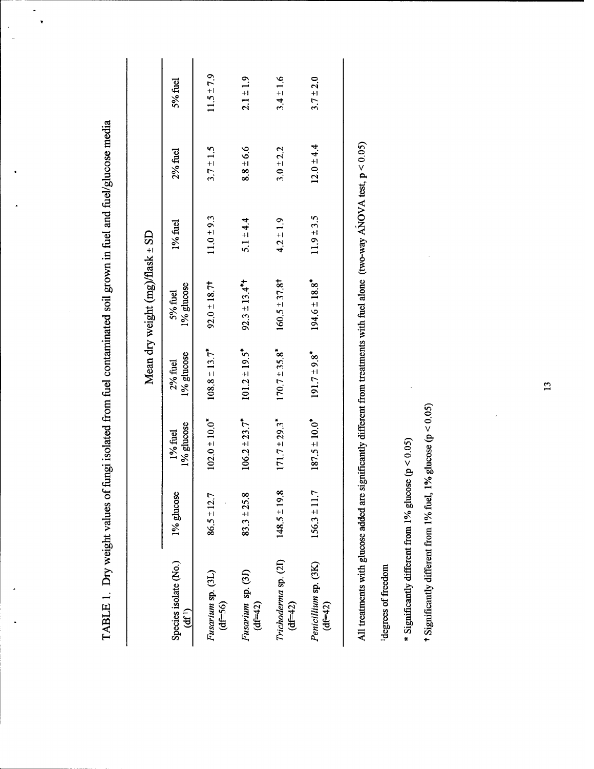| ï                                                                             |
|-------------------------------------------------------------------------------|
| こくちくじく こうこう                                                                   |
|                                                                               |
|                                                                               |
|                                                                               |
|                                                                               |
|                                                                               |
|                                                                               |
|                                                                               |
|                                                                               |
|                                                                               |
|                                                                               |
|                                                                               |
|                                                                               |
| ¢                                                                             |
|                                                                               |
|                                                                               |
|                                                                               |
|                                                                               |
|                                                                               |
|                                                                               |
|                                                                               |
|                                                                               |
|                                                                               |
|                                                                               |
|                                                                               |
|                                                                               |
|                                                                               |
|                                                                               |
|                                                                               |
|                                                                               |
|                                                                               |
|                                                                               |
|                                                                               |
|                                                                               |
|                                                                               |
|                                                                               |
|                                                                               |
|                                                                               |
|                                                                               |
|                                                                               |
|                                                                               |
|                                                                               |
|                                                                               |
|                                                                               |
|                                                                               |
| ١                                                                             |
|                                                                               |
|                                                                               |
|                                                                               |
|                                                                               |
| nes of fungi isolated from fuel contaminated soil grown in fuel and fuel/glu- |
|                                                                               |
|                                                                               |
|                                                                               |
|                                                                               |
| eight value:                                                                  |
|                                                                               |
| ׇ֚֓֡                                                                          |
| ļ<br>l                                                                        |
|                                                                               |
|                                                                               |
| ļ<br>Į                                                                        |
| l                                                                             |
| I                                                                             |
|                                                                               |

 $\ddot{\phantom{0}}$  $\ddot{\phantom{0}}$ 

 $\cdot$ l.

|                                 | 5% fuel                       | $11.5 \pm 7.9$                | $2.1 \pm 1.9$                 | $3.4 \pm 1.6$                    | $3.7 \pm 2.0$                    |
|---------------------------------|-------------------------------|-------------------------------|-------------------------------|----------------------------------|----------------------------------|
|                                 | $2%$ fuel                     | $3.7 \pm 1.5$                 | $8.8 \pm 6.6$                 | $3.0 \pm 2.2$                    | $12.0 \pm 4.4$                   |
|                                 | $1\%$ fuel                    | $11.0 \pm 9.3$                | $5.1 \pm 4.4$                 | $4.2 \pm 1.9$                    | $11.9 \pm 3.5$                   |
| Mean dry weight (mg)/flask ± SD | 1% glucose<br>5% fuel         | $92.0 \pm 18.7$               | $92.3 \pm 13.4$ <sup>*</sup>  | $160.5 \pm 37.8$                 | $194.6 \pm 18.8$ <sup>*</sup>    |
|                                 | 1% glucose<br>$2%$ fuel       | $108.8 \pm 13.7^*$            | $101.2 \pm 19.5$ <sup>*</sup> | $170.7 \pm 35.8$ <sup>*</sup>    | $191.7 \pm 9.8$ <sup>*</sup>     |
|                                 | 1% glucose<br>$1\%$ fuel      | $102.0 \pm 10.0^*$            | $106.2 \pm 23.7$ <sup>*</sup> | $171.7 \pm 29.3$ <sup>*</sup>    | $187.5 \pm 10.0^*$               |
|                                 | 1% glucose                    | $86.5 \pm 12.7$               | $83.3 \pm 25.8$               | ∞<br>$148.5 \pm 19.$             | $156.3 \pm 11.7$                 |
|                                 | Species isolate (No.)<br>(df) | Fusarium sp. (3L)<br>$(d=56)$ | Fusarium sp. (3J)<br>$(d=42)$ | Trichoderma sp. (21)<br>$(d=42)$ | Penicillium sp. (3K)<br>$(d=42)$ |

All treatments with glucose added are significantly different from treatments with fuel alone (two-way ANOVA test,  $p < 0.05$ )

 $\ddot{\phantom{0}}$ 

 $*$  Significantly different from 1% glucose (p < 0.05)

<sup>1</sup>degrees of freedom

t Significantly different from 1% fuel, 1% glucose (p < 0.05)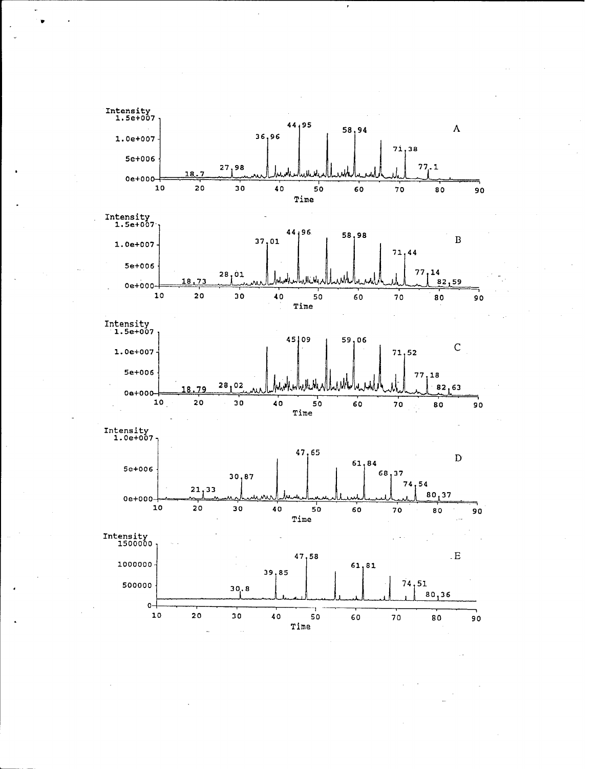

 $\lambda$